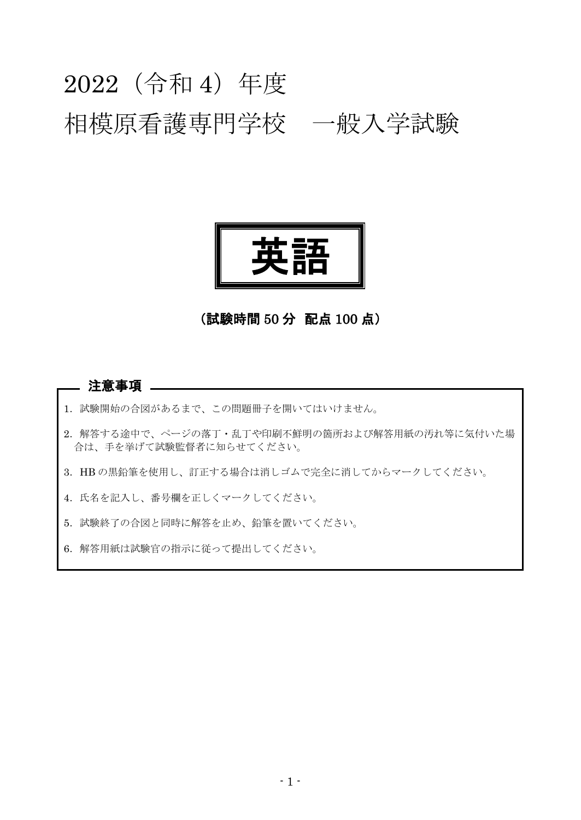# 2022(令和 4)年度 相模原看護専門学校 一般入学試験



# (試験時間 50 分 配点 100 点)

#### 注意事項 \_\_

- 1. 試験開始の合図があるまで、この問題冊子を開いてはいけません。
- 2.解答する途中で、ページの落丁・乱丁や印刷不鮮明の箇所および解答用紙の汚れ等に気付いた場 合は、手を挙げて試験監督者に知らせてください。
- 3.HB の黒鉛筆を使用し、訂正する場合は消しゴムで完全に消してからマークしてください。
- 4. 氏名を記入し、番号欄を正しくマークしてください。
- 5.試験終了の合図と同時に解答を止め、鉛筆を置いてください。
- 6.解答用紙は試験官の指示に従って提出してください。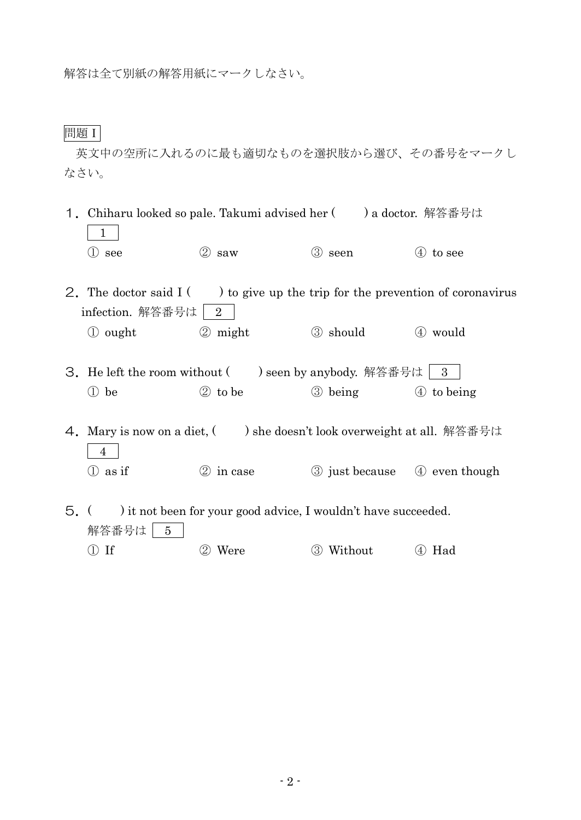解答は全て別紙の解答用紙にマークしなさい。

問題Ⅰ

英文中の空所に入れるのに最も適切なものを選択肢から選び、その番号をマークし なさい。

- 1. Chiharu looked so pale. Takumi advised her ( ) a doctor. 解答番号は 1  $\circled{1}$  see  $\circled{2}$  saw  $\circled{3}$  seen  $\circled{4}$  to see
- 2. The doctor said  $I(\cdot)$  to give up the trip for the prevention of coronavirus infection. 解答番号は  $\boxed{2}$ 
	- ① ought ② might ③ should ④ would
- 3. He left the room without  $($  ) seen by anybody. 解答番号は | 3 ① be ② to be ③ being ④ to being
- 4. Mary is now on a diet, ( ) she doesn't look overweight at all. 解答番号は 4 ① as if ② in case ③ just because ④ even though
- 5.( ) it not been for your good advice, I wouldn't have succeeded. 解答番号は 5 ① If ② Were ③ Without ④ Had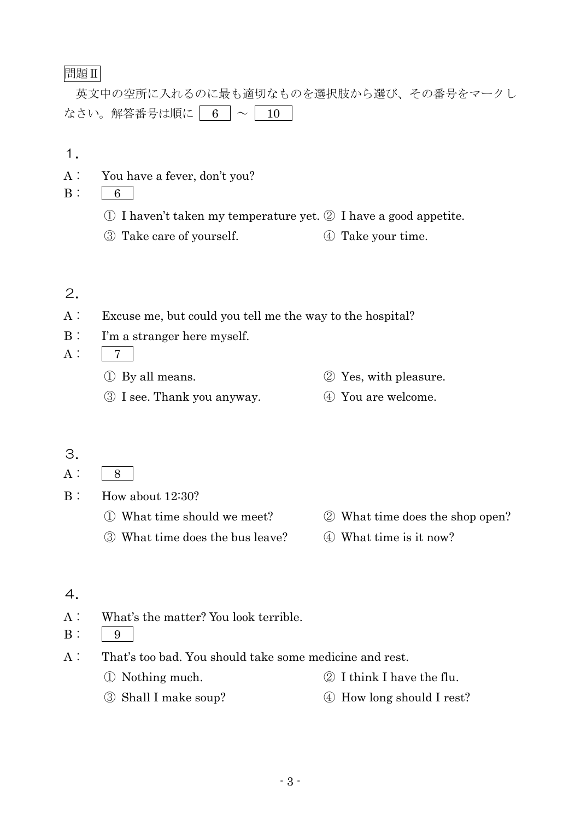## 問題Ⅱ

英文中の空所に入れるのに最も適切なものを選択肢から選び、その番号をマークし なさい。解答番号は順に | 6  $\sim$  | 10

1.

- A: You have a fever, don't you?
- $B: 6$ 
	- ① I haven't taken my temperature yet. ② I have a good appetite.
	- ③ Take care of yourself. ④ Take your time.

## 2.

- A: Excuse me, but could you tell me the way to the hospital?
- B: I'm a stranger here myself.

A: 7

- ① By all means. ② Yes, with pleasure.
- ③ I see. Thank you anyway. ④ You are welcome.

#### 3.

- $A: 8$
- B: How about 12:30?
	- ① What time should we meet? ② What time does the shop open?
	- ③ What time does the bus leave? ④ What time is it now?

## 4.

A: What's the matter? You look terrible.

 $B: \begin{array}{c|c} 9 \end{array}$ 

- A: That's too bad. You should take some medicine and rest.
	- ① Nothing much. ② I think I have the flu.
	- ③ Shall I make soup? ④ How long should I rest?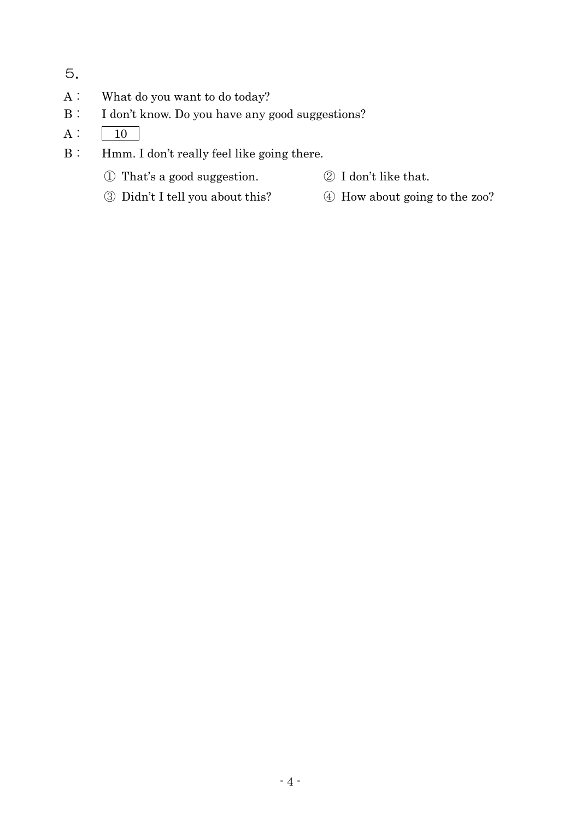- 5.
- A: What do you want to do today?
- B: I don't know. Do you have any good suggestions?
- $A: \boxed{10}$
- B: Hmm. I don't really feel like going there.
	- ① That's a good suggestion. ② I don't like that.
		-
	- ③ Didn't I tell you about this? ④ How about going to the zoo?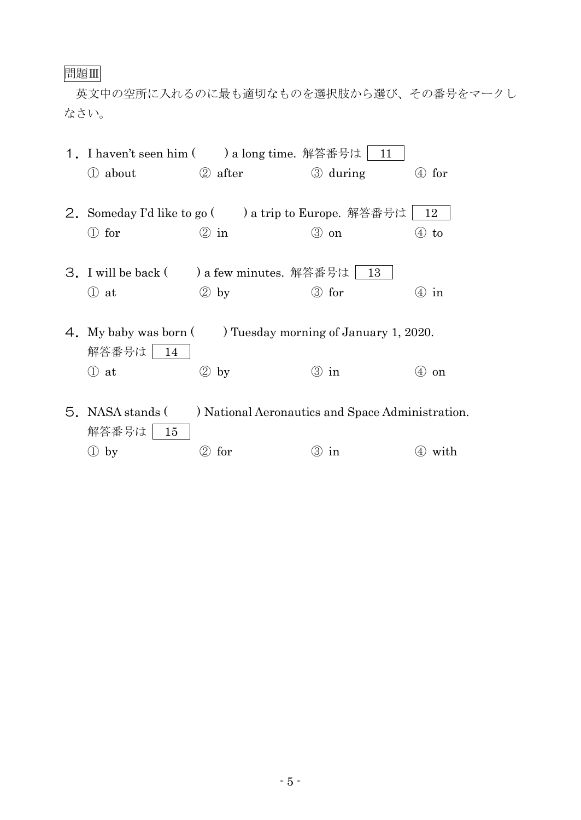# 問題Ⅲ

英文中の空所に入れるのに最も適切なものを選択肢から選び、その番号をマークし なさい。

|  | 1. I haven't seen him ( ) a long time. 解答番号は   11                        |                                                  |          |           |  |
|--|--------------------------------------------------------------------------|--------------------------------------------------|----------|-----------|--|
|  | 1 about                                                                  | 2 after                                          | 3 during | $(4)$ for |  |
|  |                                                                          |                                                  |          |           |  |
|  | 2. Someday I'd like to go ( ) a trip to Europe. 解答番号は<br>12              |                                                  |          |           |  |
|  | $\mathbb O$ for                                                          | $\circledcirc$ in                                | ③ on     | to<br>(4) |  |
|  |                                                                          |                                                  |          |           |  |
|  |                                                                          | 3. I will be back ( ) a few minutes. 解答番号は   13  |          |           |  |
|  | $\mathbb{O}$ at                                                          | $(2)$ by                                         | 3 for    | $(4)$ in  |  |
|  |                                                                          |                                                  |          |           |  |
|  | 4. My baby was born () Tuesday morning of January 1, 2020.<br>解答番号は   14 |                                                  |          |           |  |
|  |                                                                          |                                                  |          |           |  |
|  | ① at                                                                     | $\circled{2}$<br>by                              | ③ in     | (4)<br>on |  |
|  |                                                                          |                                                  |          |           |  |
|  | 5. NASA stands (                                                         | ) National Aeronautics and Space Administration. |          |           |  |
|  | 解答番号は<br>15                                                              |                                                  |          |           |  |

① by ② for ③ in ④ with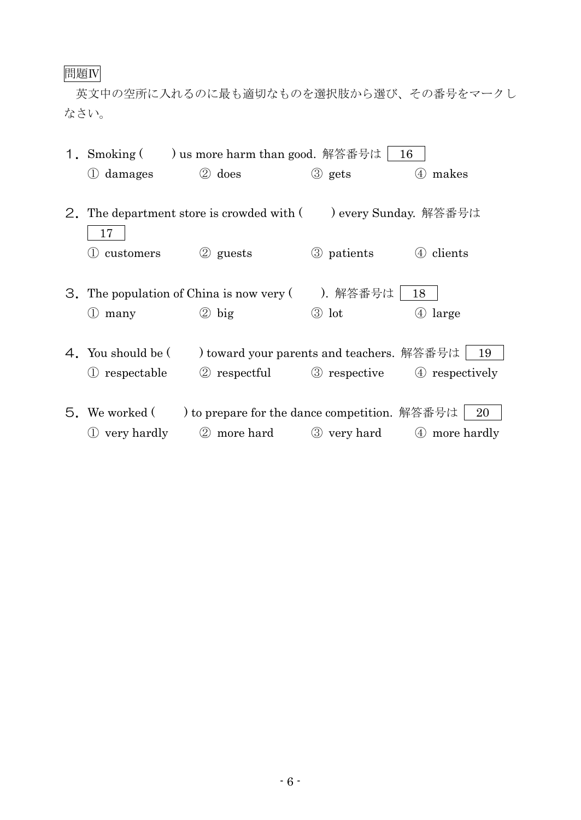# 問題Ⅳ

英文中の空所に入れるのに最も適切なものを選択肢から選び、その番号をマークし なさい。

| 1. Smoking (                                                             |                                               | ) us more harm than good. 解答番号は<br>16 |                        |  |
|--------------------------------------------------------------------------|-----------------------------------------------|---------------------------------------|------------------------|--|
| (1) damages                                                              | 2 does                                        | 3 gets                                | 4 makes                |  |
|                                                                          |                                               |                                       |                        |  |
| ) every Sunday. 解答番号は<br>2. The department store is crowded with (<br>17 |                                               |                                       |                        |  |
| customers                                                                | 2 guests                                      | 3 patients                            | (4) clients            |  |
|                                                                          | 3. The population of China is now very (      | ). 解答番号は                              | 18                     |  |
| many<br>$\left(1\right)$                                                 | $\circledcirc$ big                            | $\circledcirc$ lot                    | $\circled{4}$<br>large |  |
|                                                                          |                                               |                                       |                        |  |
| 4. You should be (                                                       | ) toward your parents and teachers. 解答番号は     |                                       | 19                     |  |
| respectable                                                              | 2 respectful 3 respective 4 respectively      |                                       |                        |  |
|                                                                          |                                               |                                       |                        |  |
| 5. We worked (                                                           | ) to prepare for the dance competition. 解答番号は |                                       | 20                     |  |
| very hardly                                                              | 2 more hard                                   | 3 very hard                           | (4) more hardly        |  |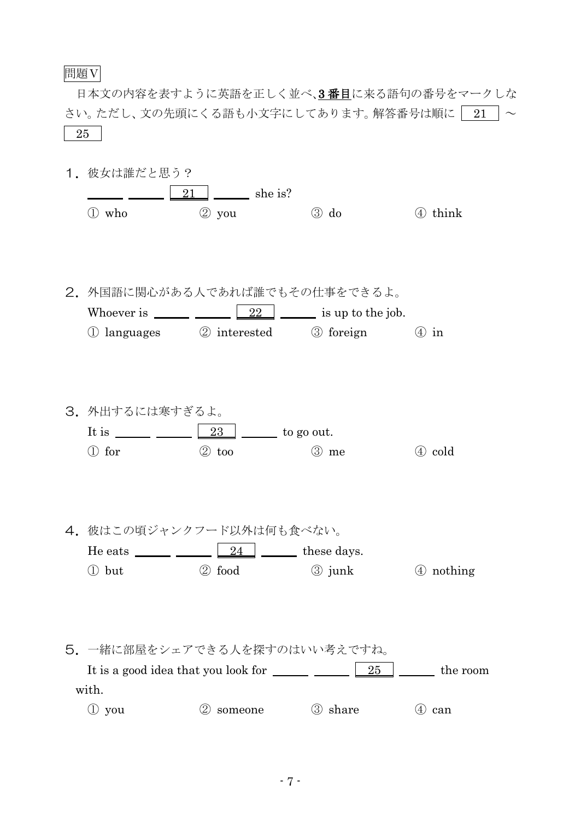#### 問題Ⅴ

日本文の内容を表すように英語を正しく並べ、3番目に来る語句の番号をマークしな さい。ただし、文の先頭にくる語も小文字にしてあります。解答番号は順に | 21  $\vert \sim$ 25

1. 彼女は誰だと思う?  $\boxed{21}$  she is? ① who ② you ③ do ④ think 2.外国語に関心がある人であれば誰でもその仕事をできるよ。 Whoever is  $\frac{22}{2}$  is up to the job. ① languages ② interested ③ foreign ④ in 3.外出するには寒すぎるよ。 It is  $\frac{23}{23}$  to go out. ① for ② too ③ me ④ cold 4. 彼はこの頃ジャンクフード以外は何も食べない。 He eats  $\frac{\qquad \qquad }{24}$   $\qquad \qquad$  these days.  $\textcircled{1}$  but  $\textcircled{2}$  food  $\textcircled{3}$  junk  $\textcircled{4}$  nothing 5.一緒に部屋をシェアできる人を探すのはいい考えですね。 It is a good idea that you look for  $\frac{25}{25}$   $\frac{25}{25}$  the room with. ① you ② someone ③ share ④ can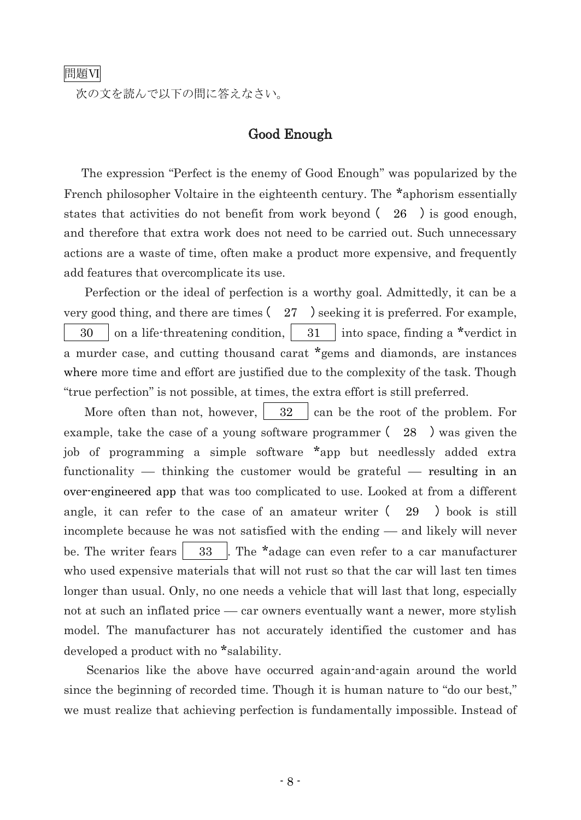次の文を読んで以下の問に答えなさい。

### Good Enough

 The expression "Perfect is the enemy of Good Enough" was popularized by the French philosopher Voltaire in the eighteenth century. The \*aphorism essentially states that activities do not benefit from work beyond  $(26)$  is good enough, and therefore that extra work does not need to be carried out. Such unnecessary actions are a waste of time, often make a product more expensive, and frequently add features that overcomplicate its use.

 Perfection or the ideal of perfection is a worthy goal. Admittedly, it can be a very good thing, and there are times  $(27)$  seeking it is preferred. For example, 30 on a life-threatening condition,  $\begin{vmatrix} 31 \end{vmatrix}$  into space, finding a \*verdict in a murder case, and cutting thousand carat \*gems and diamonds, are instances where more time and effort are justified due to the complexity of the task. Though "true perfection" is not possible, at times, the extra effort is still preferred.

More often than not, however,  $\begin{vmatrix} 32 \end{vmatrix}$  can be the root of the problem. For example, take the case of a young software programmer ( 28 ) was given the job of programming a simple software \*app but needlessly added extra functionality — thinking the customer would be grateful — resulting in an over-engineered app that was too complicated to use. Looked at from a different angle, it can refer to the case of an amateur writer ( 29 ) book is still incomplete because he was not satisfied with the ending – and likely will never be. The writer fears  $\begin{vmatrix} 33 \end{vmatrix}$ . The \*adage can even refer to a car manufacturer who used expensive materials that will not rust so that the car will last ten times longer than usual. Only, no one needs a vehicle that will last that long, especially not at such an inflated price – car owners eventually want a newer, more stylish model. The manufacturer has not accurately identified the customer and has developed a product with no \*salability.

 Scenarios like the above have occurred again-and-again around the world since the beginning of recorded time. Though it is human nature to "do our best," we must realize that achieving perfection is fundamentally impossible. Instead of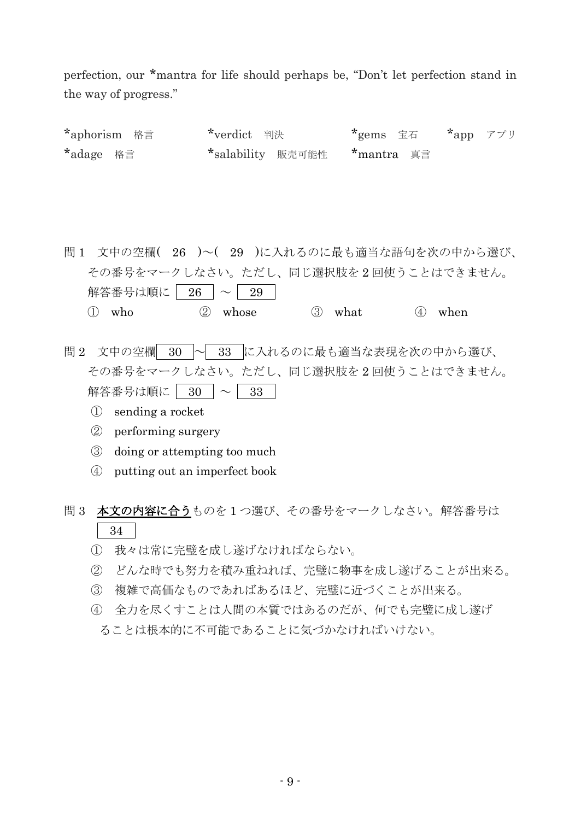perfection, our \*mantra for life should perhaps be, "Don't let perfection stand in the way of progress."

\*aphorism 格言 \*verdict 判決 \*gems 宝石 \*app アプリ \*adage 格言 \*salability 販売可能性 \*mantra 真言

問 1 文中の空欄( 26 )~( 29 )に入れるのに最も適当な語句を次の中から選び、 その番号をマークしなさい。ただし、同じ選択肢を 2 回使うことはできません。 解答番号は順に | 26  $\sim$  29 ① who ② whose ③ what ④ when

問2 文中の空欄 30 ~ 33 に入れるのに最も適当な表現を次の中から選び、 その番号をマークしなさい。ただし、同じ選択肢を 2 回使うことはできません。 解答番号は順に 30 ~ 33

- ① sending a rocket
- ② performing surgery
- ③ doing or attempting too much
- ④ putting out an imperfect book

問3 本文の内容に合うものを1つ選び、その番号をマークしなさい。解答番号は 34

- ① 我々は常に完璧を成し遂げなければならない。
- ② どんな時でも努力を積み重ねれば、完璧に物事を成し遂げることが出来る。
- ③ 複雑で高価なものであればあるほど、完璧に近づくことが出来る。
- ④ 全力を尽くすことは人間の本質ではあるのだが、何でも完璧に成し遂げ
- ることは根本的に不可能であることに気づかなければいけない。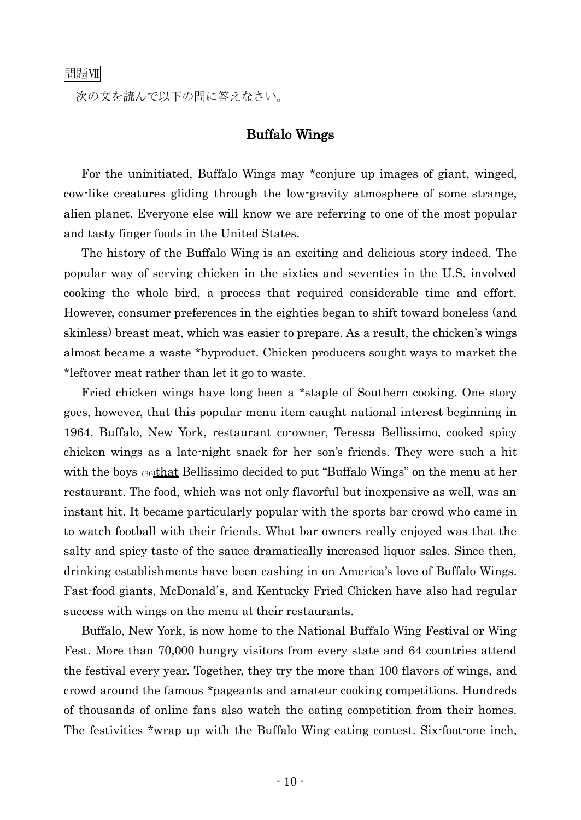次の文を読んで以下の問に答えなさい。

#### Buffalo Wings

 For the uninitiated, Buffalo Wings may \*conjure up images of giant, winged, cow-like creatures gliding through the low-gravity atmosphere of some strange, alien planet. Everyone else will know we are referring to one of the most popular and tasty finger foods in the United States.

 The history of the Buffalo Wing is an exciting and delicious story indeed. The popular way of serving chicken in the sixties and seventies in the U.S. involved cooking the whole bird, a process that required considerable time and effort. However, consumer preferences in the eighties began to shift toward boneless (and skinless) breast meat, which was easier to prepare. As a result, the chicken's wings almost became a waste \*byproduct. Chicken producers sought ways to market the \*leftover meat rather than let it go to waste.

 Fried chicken wings have long been a \*staple of Southern cooking. One story goes, however, that this popular menu item caught national interest beginning in 1964. Buffalo, New York, restaurant co-owner, Teressa Bellissimo, cooked spicy chicken wings as a late-night snack for her son's friends. They were such a hit with the boys (36that Bellissimo decided to put "Buffalo Wings" on the menu at her restaurant. The food, which was not only flavorful but inexpensive as well, was an instant hit. It became particularly popular with the sports bar crowd who came in to watch football with their friends. What bar owners really enjoyed was that the salty and spicy taste of the sauce dramatically increased liquor sales. Since then, drinking establishments have been cashing in on America's love of Buffalo Wings. Fast-food giants, McDonald's, and Kentucky Fried Chicken have also had regular success with wings on the menu at their restaurants.

 Buffalo, New York, is now home to the National Buffalo Wing Festival or Wing Fest. More than 70,000 hungry visitors from every state and 64 countries attend the festival every year. Together, they try the more than 100 flavors of wings, and crowd around the famous \*pageants and amateur cooking competitions. Hundreds of thousands of online fans also watch the eating competition from their homes. The festivities \*wrap up with the Buffalo Wing eating contest. Six-foot-one inch,